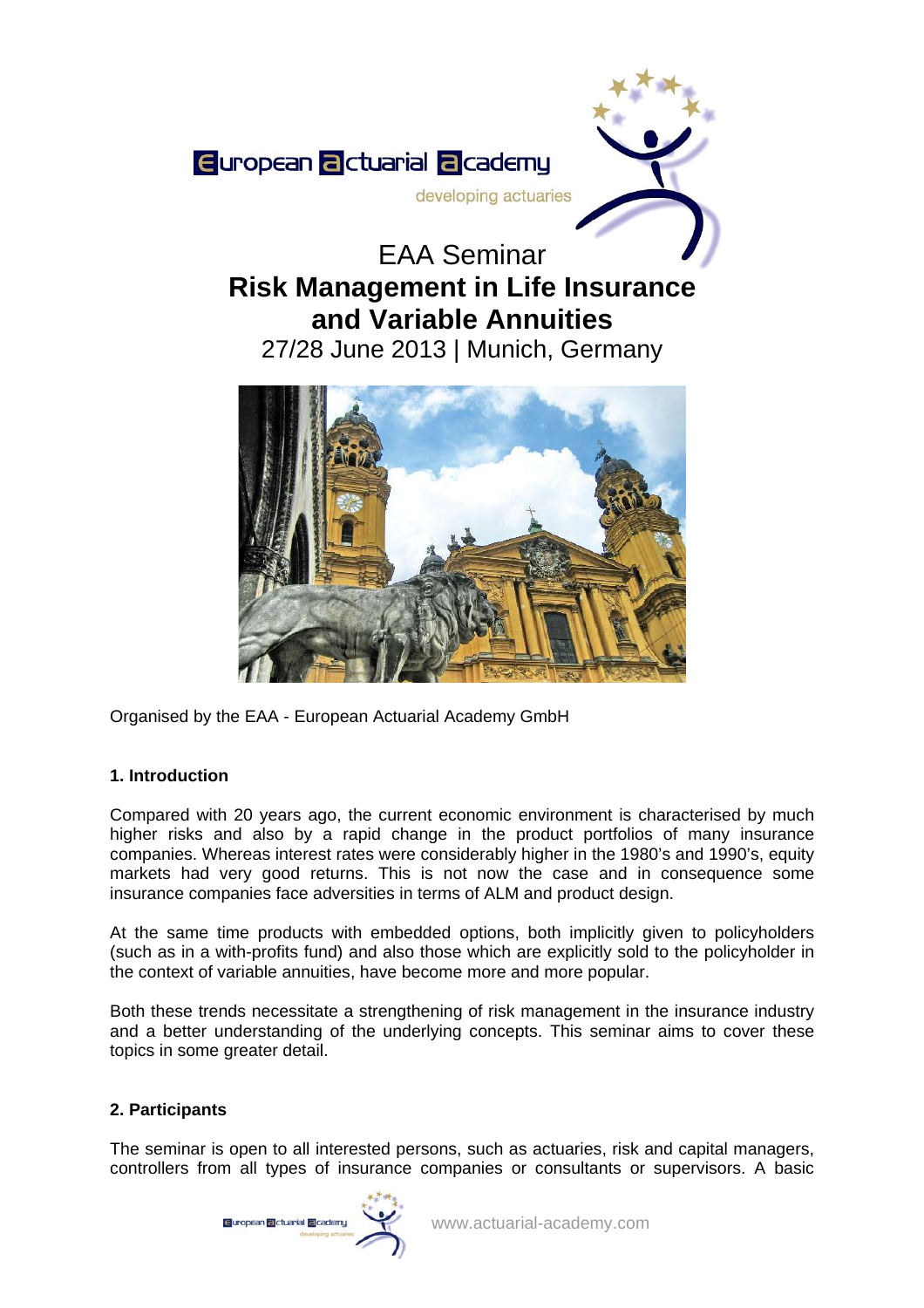

# EAA Seminar **Risk Management in Life Insurance and Variable Annuities**

27/28 June 2013 | Munich, Germany



Organised by the EAA - European Actuarial Academy GmbH

# **1. Introduction**

Compared with 20 years ago, the current economic environment is characterised by much higher risks and also by a rapid change in the product portfolios of many insurance companies. Whereas interest rates were considerably higher in the 1980's and 1990's, equity markets had very good returns. This is not now the case and in consequence some insurance companies face adversities in terms of ALM and product design.

At the same time products with embedded options, both implicitly given to policyholders (such as in a with-profits fund) and also those which are explicitly sold to the policyholder in the context of variable annuities, have become more and more popular.

Both these trends necessitate a strengthening of risk management in the insurance industry and a better understanding of the underlying concepts. This seminar aims to cover these topics in some greater detail.

# **2. Participants**

The seminar is open to all interested persons, such as actuaries, risk and capital managers, controllers from all types of insurance companies or consultants or supervisors. A basic

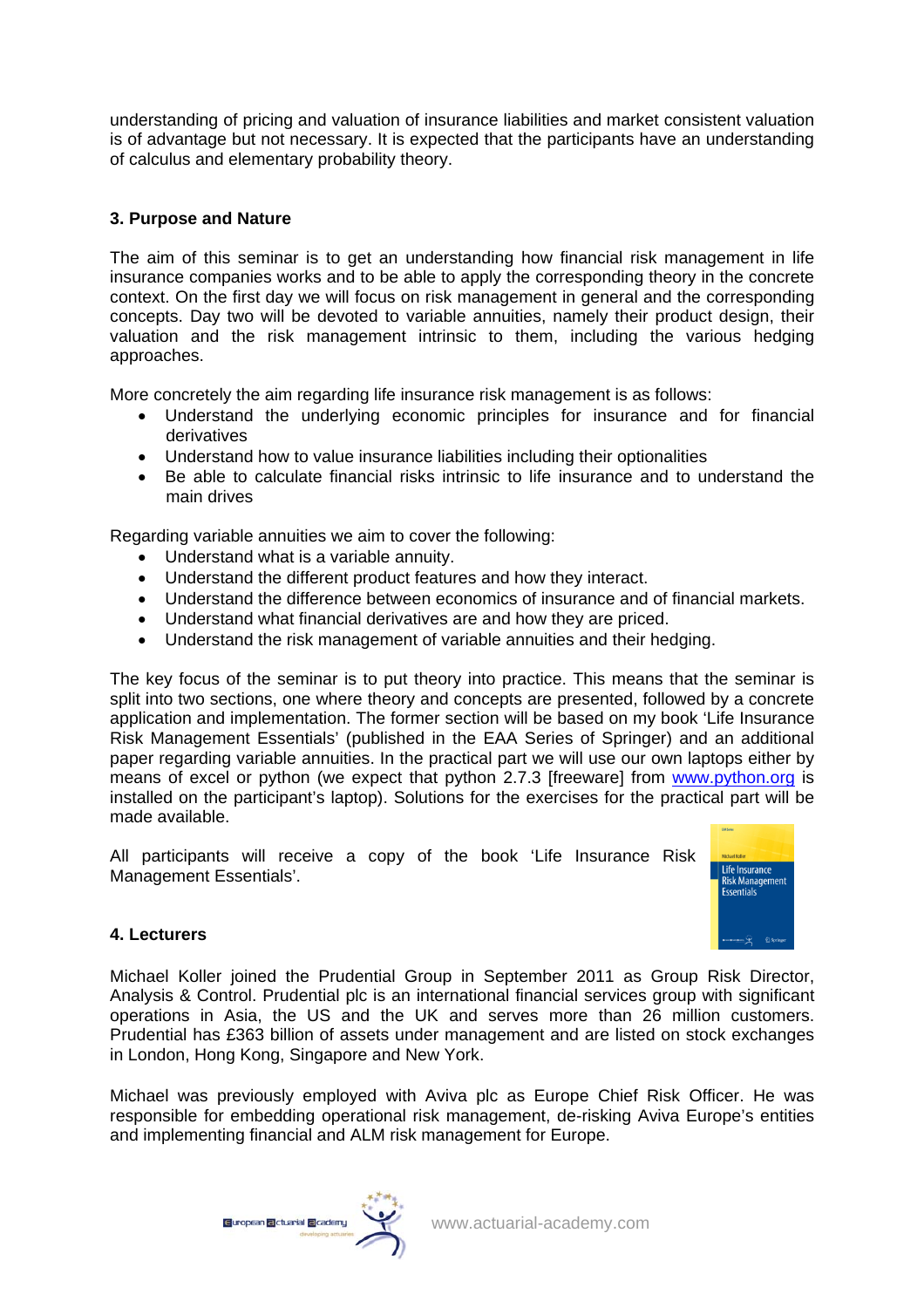understanding of pricing and valuation of insurance liabilities and market consistent valuation is of advantage but not necessary. It is expected that the participants have an understanding of calculus and elementary probability theory.

# **3. Purpose and Nature**

The aim of this seminar is to get an understanding how financial risk management in life insurance companies works and to be able to apply the corresponding theory in the concrete context. On the first day we will focus on risk management in general and the corresponding concepts. Day two will be devoted to variable annuities, namely their product design, their valuation and the risk management intrinsic to them, including the various hedging approaches.

More concretely the aim regarding life insurance risk management is as follows:

- Understand the underlying economic principles for insurance and for financial derivatives
- Understand how to value insurance liabilities including their optionalities
- Be able to calculate financial risks intrinsic to life insurance and to understand the main drives

Regarding variable annuities we aim to cover the following:

- Understand what is a variable annuity.
- Understand the different product features and how they interact.
- Understand the difference between economics of insurance and of financial markets.
- Understand what financial derivatives are and how they are priced.
- Understand the risk management of variable annuities and their hedging.

The key focus of the seminar is to put theory into practice. This means that the seminar is split into two sections, one where theory and concepts are presented, followed by a concrete application and implementation. The former section will be based on my book 'Life Insurance Risk Management Essentials' (published in the EAA Series of Springer) and an additional paper regarding variable annuities. In the practical part we will use our own laptops either by means of excel or python (we expect that python 2.7.3 [freeware] from [www.python.org](http://www.python.org/) is installed on the participant's laptop). Solutions for the exercises for the practical part will be made available.

All participants will receive a copy of the book 'Life Insurance Risk Management Essentials'.



## **4. Lecturers**

Michael Koller joined the Prudential Group in September 2011 as Group Risk Director, Analysis & Control. Prudential plc is an international financial services group with significant operations in Asia, the US and the UK and serves more than 26 million customers. Prudential has £363 billion of assets under management and are listed on stock exchanges in London, Hong Kong, Singapore and New York.

Michael was previously employed with Aviva plc as Europe Chief Risk Officer. He was responsible for embedding operational risk management, de-risking Aviva Europe's entities and implementing financial and ALM risk management for Europe.

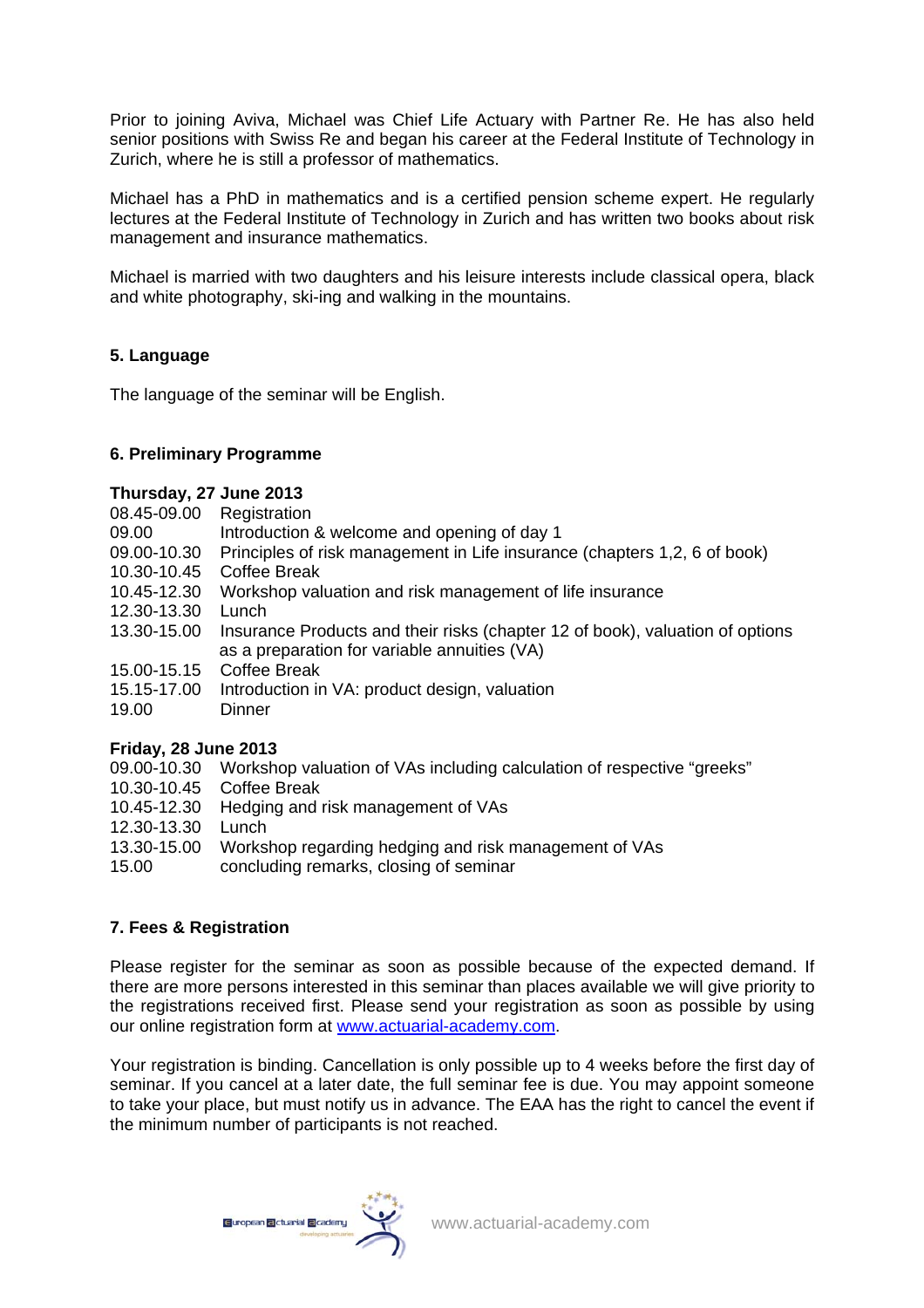Prior to joining Aviva, Michael was Chief Life Actuary with Partner Re. He has also held senior positions with Swiss Re and began his career at the Federal Institute of Technology in Zurich, where he is still a professor of mathematics.

Michael has a PhD in mathematics and is a certified pension scheme expert. He regularly lectures at the Federal Institute of Technology in Zurich and has written two books about risk management and insurance mathematics.

Michael is married with two daughters and his leisure interests include classical opera, black and white photography, ski-ing and walking in the mountains.

# **5. Language**

The language of the seminar will be English.

## **6. Preliminary Programme**

#### **Thursday, 27 June 2013**

- 08.45-09.00 Registration
- 09.00 Introduction & welcome and opening of day 1
- 09.00-10.30 Principles of risk management in Life insurance (chapters 1,2, 6 of book)
- 10.30-10.45 Coffee Break
- 10.45-12.30 Workshop valuation and risk management of life insurance
- 12.30-13.30 Lunch
- 13.30-15.00 Insurance Products and their risks (chapter 12 of book), valuation of options as a preparation for variable annuities (VA)
- 15.00-15.15 Coffee Break
- 15.15-17.00 Introduction in VA: product design, valuation
- 19.00 Dinner

## **Friday, 28 June 2013**

- 09.00-10.30 Workshop valuation of VAs including calculation of respective "greeks"
- 10.30-10.45 Coffee Break
- 10.45-12.30 Hedging and risk management of VAs
- 12.30-13.30 Lunch
- 13.30-15.00 Workshop regarding hedging and risk management of VAs
- 15.00 concluding remarks, closing of seminar

## **7. Fees & Registration**

Please register for the seminar as soon as possible because of the expected demand. If there are more persons interested in this seminar than places available we will give priority to the registrations received first. Please send your registration as soon as possible by using our online registration form at [www.actuarial-academy.com.](http://www.actuarial-academy.com/)

Your registration is binding. Cancellation is only possible up to 4 weeks before the first day of seminar. If you cancel at a later date, the full seminar fee is due. You may appoint someone to take your place, but must notify us in advance. The EAA has the right to cancel the event if the minimum number of participants is not reached.